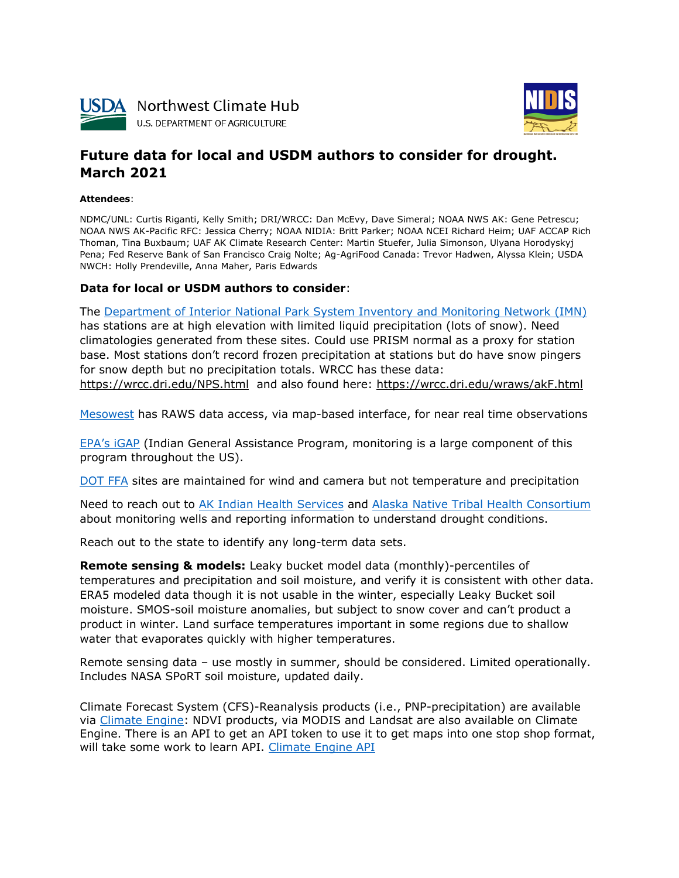



# **Future data for local and USDM authors to consider for drought. March 2021**

**Attendees**:

NDMC/UNL: Curtis Riganti, Kelly Smith; DRI/WRCC: Dan McEvy, Dave Simeral; NOAA NWS AK: Gene Petrescu; NOAA NWS AK-Pacific RFC: Jessica Cherry; NOAA NIDIA: Britt Parker; NOAA NCEI Richard Heim; UAF ACCAP Rich Thoman, Tina Buxbaum; UAF AK Climate Research Center: Martin Stuefer, Julia Simonson, Ulyana Horodyskyj Pena; Fed Reserve Bank of San Francisco Craig Nolte; Ag-AgriFood Canada: Trevor Hadwen, Alyssa Klein; USDA NWCH: Holly Prendeville, Anna Maher, Paris Edwards

#### **Data for local or USDM authors to consider**:

The [Department of Interior National Park System Inventory and Monitoring Network \(IMN\)](https://www.nps.gov/im/index.htm) has stations are at high elevation with limited liquid precipitation (lots of snow). Need climatologies generated from these sites. Could use PRISM normal as a proxy for station base. Most stations don't record frozen precipitation at stations but do have snow pingers for snow depth but no precipitation totals. WRCC has these data: <https://wrcc.dri.edu/NPS.html>and also found here:<https://wrcc.dri.edu/wraws/akF.html>

[Mesowest](https://mesowest.utah.edu/) has RAWS data access, via map-based interface, for near real time observations

[EPA's iGAP](https://www.epa.gov/tribal/indian-environmental-general-assistance-program-gap) (Indian General Assistance Program, monitoring is a large component of this program throughout the US).

[DOT FFA](https://www.faa.gov/air_traffic/weather/asos/?state=AK) sites are maintained for wind and camera but not temperature and precipitation

Need to reach out to [AK Indian Health Services](https://www.ihs.gov/alaska/) and [Alaska Native Tribal Health Consortium](https://anthc.org/) about monitoring wells and reporting information to understand drought conditions.

Reach out to the state to identify any long-term data sets.

**Remote sensing & models:** Leaky bucket model data (monthly)-percentiles of temperatures and precipitation and soil moisture, and verify it is consistent with other data. ERA5 modeled data though it is not usable in the winter, especially Leaky Bucket soil moisture. SMOS-soil moisture anomalies, but subject to snow cover and can't product a product in winter. Land surface temperatures important in some regions due to shallow water that evaporates quickly with higher temperatures.

Remote sensing data – use mostly in summer, should be considered. Limited operationally. Includes NASA SPoRT soil moisture, updated daily.

Climate Forecast System (CFS)-Reanalysis products (i.e., PNP-precipitation) are available via [Climate Engine:](https://app.climateengine.org/climateEngine) NDVI products, via MODIS and Landsat are also available on Climate Engine. There is an API to get an API token to use it to get maps into one stop shop format, will take some work to learn API. [Climate Engine API](https://app.climateengine.org/api)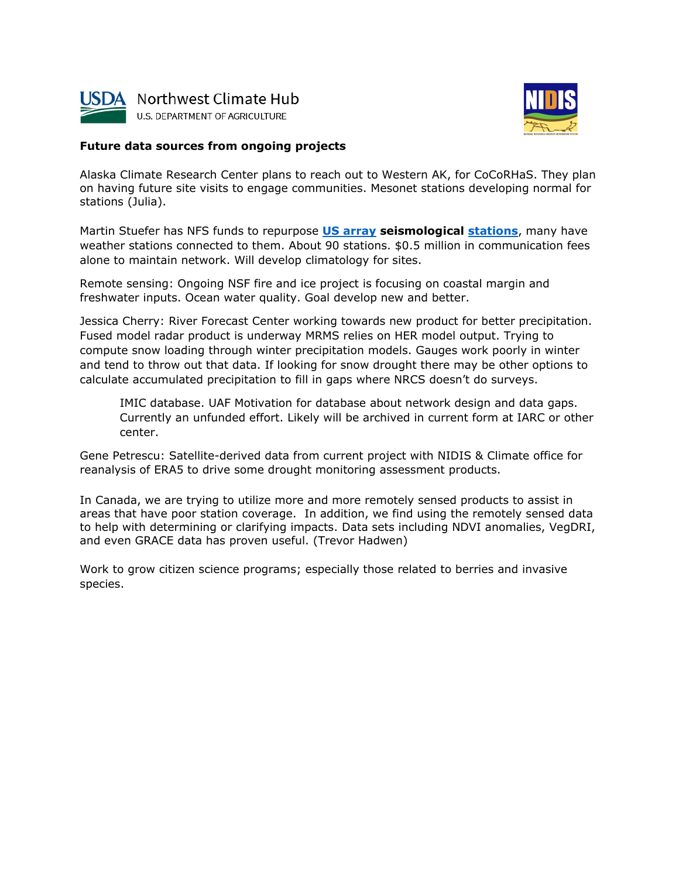



## **Future data sources from ongoing projects**

Alaska Climate Research Center plans to reach out to Western AK, for CoCoRHaS. They plan on having future site visits to engage communities. Mesonet stations developing normal for stations (Julia).

Martin Stuefer has NFS funds to repurpose **[US array](http://www.usarray.org/) seismological [stations](http://www.usarray.org/alaska)**, many have weather stations connected to them. About 90 stations. \$0.5 million in communication fees alone to maintain network. Will develop climatology for sites.

Remote sensing: Ongoing NSF fire and ice project is focusing on coastal margin and freshwater inputs. Ocean water quality. Goal develop new and better.

Jessica Cherry: River Forecast Center working towards new product for better precipitation. Fused model radar product is underway MRMS relies on HER model output. Trying to compute snow loading through winter precipitation models. Gauges work poorly in winter and tend to throw out that data. If looking for snow drought there may be other options to calculate accumulated precipitation to fill in gaps where NRCS doesn't do surveys.

IMIC database. UAF Motivation for database about network design and data gaps. Currently an unfunded effort. Likely will be archived in current form at IARC or other center.

Gene Petrescu: Satellite-derived data from current project with NIDIS & Climate office for reanalysis of ERA5 to drive some drought monitoring assessment products.

In Canada, we are trying to utilize more and more remotely sensed products to assist in areas that have poor station coverage. In addition, we find using the remotely sensed data to help with determining or clarifying impacts. Data sets including NDVI anomalies, VegDRI, and even GRACE data has proven useful. (Trevor Hadwen)

Work to grow citizen science programs; especially those related to berries and invasive species.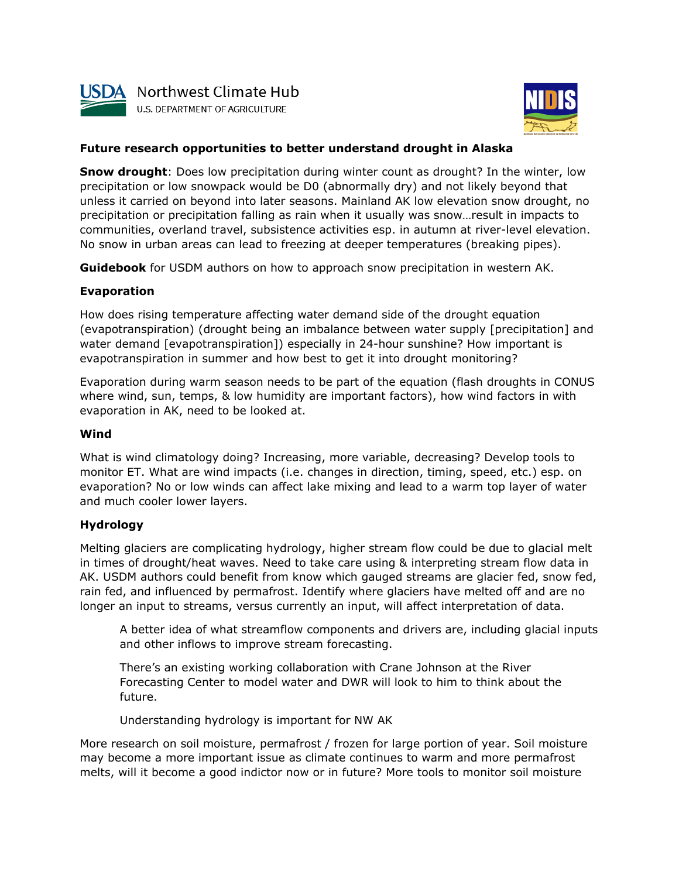



# **Future research opportunities to better understand drought in Alaska**

**Snow drought**: Does low precipitation during winter count as drought? In the winter, low precipitation or low snowpack would be D0 (abnormally dry) and not likely beyond that unless it carried on beyond into later seasons. Mainland AK low elevation snow drought, no precipitation or precipitation falling as rain when it usually was snow…result in impacts to communities, overland travel, subsistence activities esp. in autumn at river-level elevation. No snow in urban areas can lead to freezing at deeper temperatures (breaking pipes).

**Guidebook** for USDM authors on how to approach snow precipitation in western AK.

### **Evaporation**

How does rising temperature affecting water demand side of the drought equation (evapotranspiration) (drought being an imbalance between water supply [precipitation] and water demand [evapotranspiration]) especially in 24-hour sunshine? How important is evapotranspiration in summer and how best to get it into drought monitoring?

Evaporation during warm season needs to be part of the equation (flash droughts in CONUS where wind, sun, temps, & low humidity are important factors), how wind factors in with evaporation in AK, need to be looked at.

### **Wind**

What is wind climatology doing? Increasing, more variable, decreasing? Develop tools to monitor ET. What are wind impacts (i.e. changes in direction, timing, speed, etc.) esp. on evaporation? No or low winds can affect lake mixing and lead to a warm top layer of water and much cooler lower layers.

### **Hydrology**

Melting glaciers are complicating hydrology, higher stream flow could be due to glacial melt in times of drought/heat waves. Need to take care using & interpreting stream flow data in AK. USDM authors could benefit from know which gauged streams are glacier fed, snow fed, rain fed, and influenced by permafrost. Identify where glaciers have melted off and are no longer an input to streams, versus currently an input, will affect interpretation of data.

A better idea of what streamflow components and drivers are, including glacial inputs and other inflows to improve stream forecasting.

There's an existing working collaboration with Crane Johnson at the River Forecasting Center to model water and DWR will look to him to think about the future.

Understanding hydrology is important for NW AK

More research on soil moisture, permafrost / frozen for large portion of year. Soil moisture may become a more important issue as climate continues to warm and more permafrost melts, will it become a good indictor now or in future? More tools to monitor soil moisture